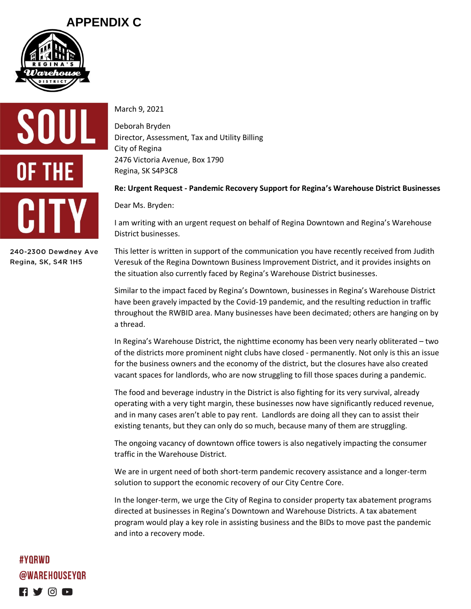## **APPENDIX C**





240-2300 Dewdney Ave Regina, SK, S4R 1H5

March 9, 2021

Deborah Bryden Director, Assessment, Tax and Utility Billing City of Regina 2476 Victoria Avenue, Box 1790 Regina, SK S4P3C8

## **Re: Urgent Request - Pandemic Recovery Support for Regina's Warehouse District Businesses**

Dear Ms. Bryden:

I am writing with an urgent request on behalf of Regina Downtown and Regina's Warehouse District businesses.

This letter is written in support of the communication you have recently received from Judith Veresuk of the Regina Downtown Business Improvement District, and it provides insights on the situation also currently faced by Regina's Warehouse District businesses.

Similar to the impact faced by Regina's Downtown, businesses in Regina's Warehouse District have been gravely impacted by the Covid-19 pandemic, and the resulting reduction in traffic throughout the RWBID area. Many businesses have been decimated; others are hanging on by a thread.

In Regina's Warehouse District, the nighttime economy has been very nearly obliterated – two of the districts more prominent night clubs have closed - permanently. Not only is this an issue for the business owners and the economy of the district, but the closures have also created vacant spaces for landlords, who are now struggling to fill those spaces during a pandemic.

The food and beverage industry in the District is also fighting for its very survival, already operating with a very tight margin, these businesses now have significantly reduced revenue, and in many cases aren't able to pay rent. Landlords are doing all they can to assist their existing tenants, but they can only do so much, because many of them are struggling.

The ongoing vacancy of downtown office towers is also negatively impacting the consumer traffic in the Warehouse District.

We are in urgent need of both short-term pandemic recovery assistance and a longer-term solution to support the economic recovery of our City Centre Core.

In the longer-term, we urge the City of Regina to consider property tax abatement programs directed at businesses in Regina's Downtown and Warehouse Districts. A tax abatement program would play a key role in assisting business and the BIDs to move past the pandemic and into a recovery mode.

#YORWD **@WAREHOUSEYOR**  $\blacksquare$  y  $\odot$  d